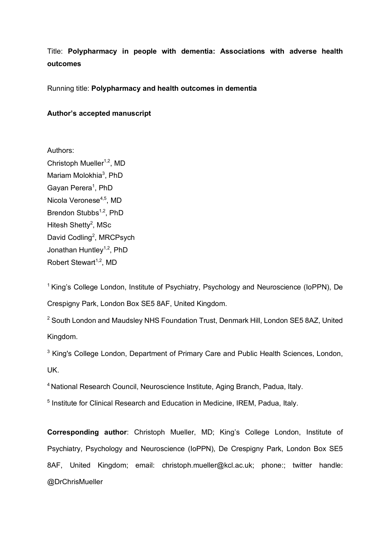Title: **Polypharmacy in people with dementia: Associations with adverse health outcomes**

Running title: **Polypharmacy and health outcomes in dementia**

**Author's accepted manuscript**

Authors:

Christoph Mueller $1,2$ , MD Mariam Molokhia<sup>3</sup>, PhD Gayan Perera<sup>1</sup>, PhD Nicola Veronese<sup>4,5</sup>, MD Brendon Stubbs<sup>1,2</sup>, PhD Hitesh Shetty<sup>2</sup>, MSc David Codling<sup>2</sup>, MRCPsych Jonathan Huntley<sup>1,2</sup>, PhD Robert Stewart<sup>1,2</sup>, MD

<sup>1</sup> King's College London, Institute of Psychiatry, Psychology and Neuroscience (IoPPN), De Crespigny Park, London Box SE5 8AF, United Kingdom.

<sup>2</sup> South London and Maudsley NHS Foundation Trust, Denmark Hill, London SE5 8AZ, United Kingdom.

<sup>3</sup> King's College London, Department of Primary Care and Public Health Sciences, London, UK.

4 National Research Council, Neuroscience Institute, Aging Branch, Padua, Italy.

<sup>5</sup> Institute for Clinical Research and Education in Medicine, IREM, Padua, Italy.

**Corresponding author**: Christoph Mueller, MD; King's College London, Institute of Psychiatry, Psychology and Neuroscience (IoPPN), De Crespigny Park, London Box SE5 8AF, United Kingdom; email: christoph.mueller@kcl.ac.uk; phone:; twitter handle: @DrChrisMueller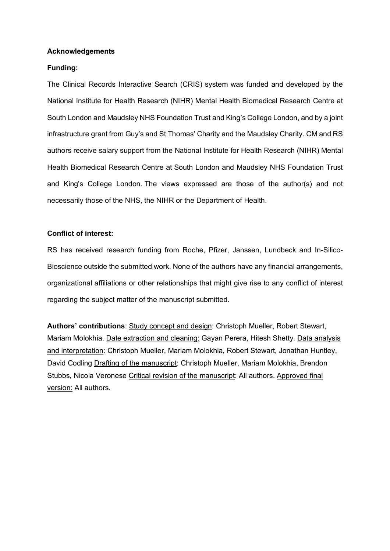#### **Acknowledgements**

# **Funding:**

The Clinical Records Interactive Search (CRIS) system was funded and developed by the National Institute for Health Research (NIHR) Mental Health Biomedical Research Centre at South London and Maudsley NHS Foundation Trust and King's College London, and by a joint infrastructure grant from Guy's and St Thomas' Charity and the Maudsley Charity. CM and RS authors receive salary support from the National Institute for Health Research (NIHR) Mental Health Biomedical Research Centre at South London and Maudsley NHS Foundation Trust and King's College London. The views expressed are those of the author(s) and not necessarily those of the NHS, the NIHR or the Department of Health.

#### **Conflict of interest:**

RS has received research funding from Roche, Pfizer, Janssen, Lundbeck and In-Silico-Bioscience outside the submitted work. None of the authors have any financial arrangements, organizational affiliations or other relationships that might give rise to any conflict of interest regarding the subject matter of the manuscript submitted.

**Authors' contributions**: Study concept and design: Christoph Mueller, Robert Stewart, Mariam Molokhia. Date extraction and cleaning: Gayan Perera, Hitesh Shetty. Data analysis and interpretation: Christoph Mueller, Mariam Molokhia, Robert Stewart, Jonathan Huntley, David Codling Drafting of the manuscript: Christoph Mueller, Mariam Molokhia, Brendon Stubbs, Nicola Veronese Critical revision of the manuscript: All authors. Approved final version: All authors.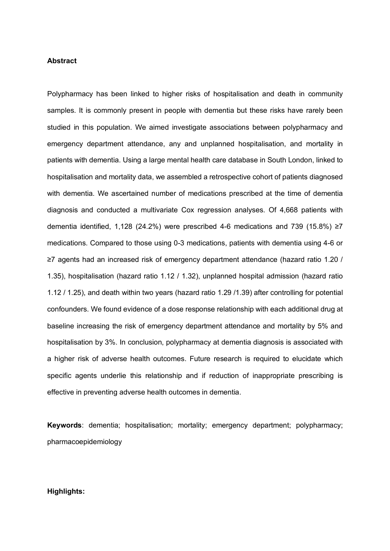#### **Abstract**

Polypharmacy has been linked to higher risks of hospitalisation and death in community samples. It is commonly present in people with dementia but these risks have rarely been studied in this population. We aimed investigate associations between polypharmacy and emergency department attendance, any and unplanned hospitalisation, and mortality in patients with dementia. Using a large mental health care database in South London, linked to hospitalisation and mortality data, we assembled a retrospective cohort of patients diagnosed with dementia. We ascertained number of medications prescribed at the time of dementia diagnosis and conducted a multivariate Cox regression analyses. Of 4,668 patients with dementia identified, 1,128 (24.2%) were prescribed 4-6 medications and 739 (15.8%) ≥7 medications. Compared to those using 0-3 medications, patients with dementia using 4-6 or ≥7 agents had an increased risk of emergency department attendance (hazard ratio 1.20 / 1.35), hospitalisation (hazard ratio 1.12 / 1.32), unplanned hospital admission (hazard ratio 1.12 / 1.25), and death within two years (hazard ratio 1.29 /1.39) after controlling for potential confounders. We found evidence of a dose response relationship with each additional drug at baseline increasing the risk of emergency department attendance and mortality by 5% and hospitalisation by 3%. In conclusion, polypharmacy at dementia diagnosis is associated with a higher risk of adverse health outcomes. Future research is required to elucidate which specific agents underlie this relationship and if reduction of inappropriate prescribing is effective in preventing adverse health outcomes in dementia.

**Keywords**: dementia; hospitalisation; mortality; emergency department; polypharmacy; pharmacoepidemiology

## **Highlights:**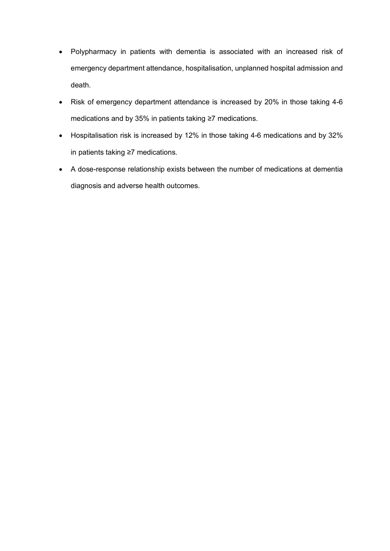- Polypharmacy in patients with dementia is associated with an increased risk of emergency department attendance, hospitalisation, unplanned hospital admission and death.
- Risk of emergency department attendance is increased by 20% in those taking 4-6 medications and by 35% in patients taking ≥7 medications.
- Hospitalisation risk is increased by 12% in those taking 4-6 medications and by 32% in patients taking ≥7 medications.
- A dose-response relationship exists between the number of medications at dementia diagnosis and adverse health outcomes.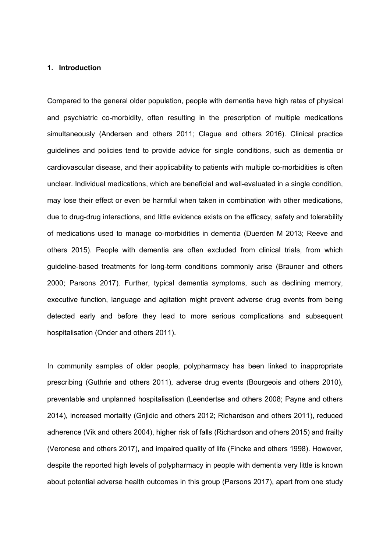#### **1. Introduction**

Compared to the general older population, people with dementia have high rates of physical and psychiatric co-morbidity, often resulting in the prescription of multiple medications simultaneously (Andersen and others 2011; Clague and others 2016). Clinical practice guidelines and policies tend to provide advice for single conditions, such as dementia or cardiovascular disease, and their applicability to patients with multiple co-morbidities is often unclear. Individual medications, which are beneficial and well-evaluated in a single condition, may lose their effect or even be harmful when taken in combination with other medications, due to drug-drug interactions, and little evidence exists on the efficacy, safety and tolerability of medications used to manage co-morbidities in dementia (Duerden M 2013; Reeve and others 2015). People with dementia are often excluded from clinical trials, from which guideline-based treatments for long-term conditions commonly arise (Brauner and others 2000; Parsons 2017). Further, typical dementia symptoms, such as declining memory, executive function, language and agitation might prevent adverse drug events from being detected early and before they lead to more serious complications and subsequent hospitalisation (Onder and others 2011).

In community samples of older people, polypharmacy has been linked to inappropriate prescribing (Guthrie and others 2011), adverse drug events (Bourgeois and others 2010), preventable and unplanned hospitalisation (Leendertse and others 2008; Payne and others 2014), increased mortality (Gnjidic and others 2012; Richardson and others 2011), reduced adherence (Vik and others 2004), higher risk of falls (Richardson and others 2015) and frailty (Veronese and others 2017), and impaired quality of life (Fincke and others 1998). However, despite the reported high levels of polypharmacy in people with dementia very little is known about potential adverse health outcomes in this group (Parsons 2017), apart from one study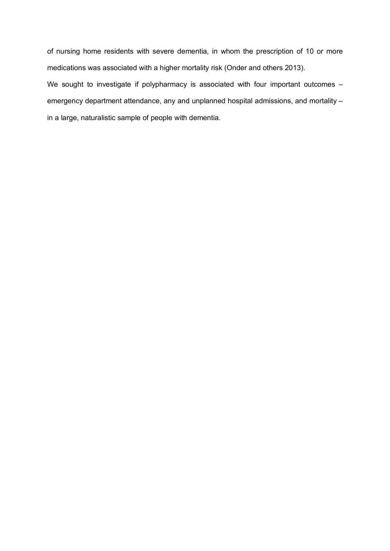of nursing home residents with severe dementia, in whom the prescription of 10 or more medications was associated with a higher mortality risk (Onder and others 2013). We sought to investigate if polypharmacy is associated with four important outcomes – emergency department attendance, any and unplanned hospital admissions, and mortality – in a large, naturalistic sample of people with dementia.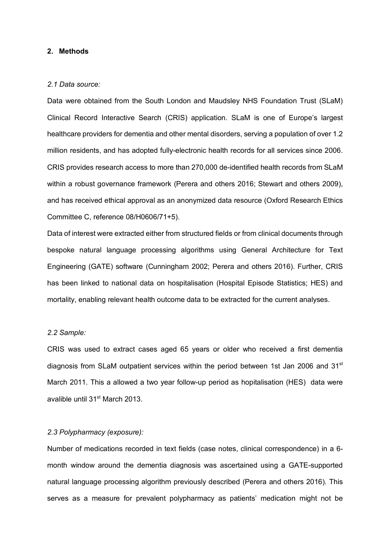# **2. Methods**

#### *2.1 Data source:*

Data were obtained from the South London and Maudsley NHS Foundation Trust (SLaM) Clinical Record Interactive Search (CRIS) application. SLaM is one of Europe's largest healthcare providers for dementia and other mental disorders, serving a population of over 1.2 million residents, and has adopted fully-electronic health records for all services since 2006. CRIS provides research access to more than 270,000 de-identified health records from SLaM within a robust governance framework (Perera and others 2016; Stewart and others 2009), and has received ethical approval as an anonymized data resource (Oxford Research Ethics Committee C, reference 08/H0606/71+5).

Data of interest were extracted either from structured fields or from clinical documents through bespoke natural language processing algorithms using General Architecture for Text Engineering (GATE) software (Cunningham 2002; Perera and others 2016). Further, CRIS has been linked to national data on hospitalisation (Hospital Episode Statistics; HES) and mortality, enabling relevant health outcome data to be extracted for the current analyses.

## *2.2 Sample:*

CRIS was used to extract cases aged 65 years or older who received a first dementia diagnosis from SLaM outpatient services within the period between 1st Jan 2006 and 31<sup>st</sup> March 2011. This a allowed a two year follow-up period as hopitalisation (HES) data were avalible until 31st March 2013.

#### *2.3 Polypharmacy (exposure):*

Number of medications recorded in text fields (case notes, clinical correspondence) in a 6 month window around the dementia diagnosis was ascertained using a GATE-supported natural language processing algorithm previously described (Perera and others 2016). This serves as a measure for prevalent polypharmacy as patients' medication might not be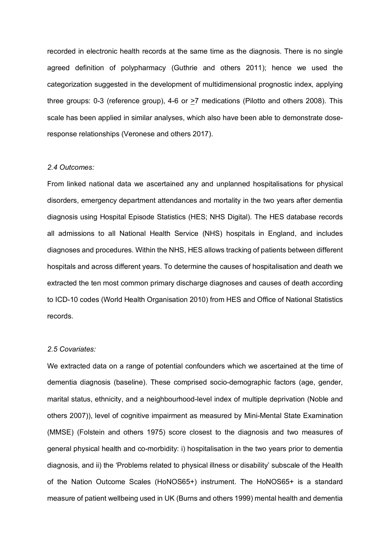recorded in electronic health records at the same time as the diagnosis. There is no single agreed definition of polypharmacy (Guthrie and others 2011); hence we used the categorization suggested in the development of multidimensional prognostic index, applying three groups: 0-3 (reference group), 4-6 or >7 medications (Pilotto and others 2008). This scale has been applied in similar analyses, which also have been able to demonstrate doseresponse relationships (Veronese and others 2017).

#### *2.4 Outcomes:*

From linked national data we ascertained any and unplanned hospitalisations for physical disorders, emergency department attendances and mortality in the two years after dementia diagnosis using Hospital Episode Statistics (HES; NHS Digital). The HES database records all admissions to all National Health Service (NHS) hospitals in England, and includes diagnoses and procedures. Within the NHS, HES allows tracking of patients between different hospitals and across different years. To determine the causes of hospitalisation and death we extracted the ten most common primary discharge diagnoses and causes of death according to ICD-10 codes (World Health Organisation 2010) from HES and Office of National Statistics records.

## *2.5 Covariates:*

We extracted data on a range of potential confounders which we ascertained at the time of dementia diagnosis (baseline). These comprised socio-demographic factors (age, gender, marital status, ethnicity, and a neighbourhood-level index of multiple deprivation (Noble and others 2007)), level of cognitive impairment as measured by Mini-Mental State Examination (MMSE) (Folstein and others 1975) score closest to the diagnosis and two measures of general physical health and co-morbidity: i) hospitalisation in the two years prior to dementia diagnosis, and ii) the 'Problems related to physical illness or disability' subscale of the Health of the Nation Outcome Scales (HoNOS65+) instrument. The HoNOS65+ is a standard measure of patient wellbeing used in UK (Burns and others 1999) mental health and dementia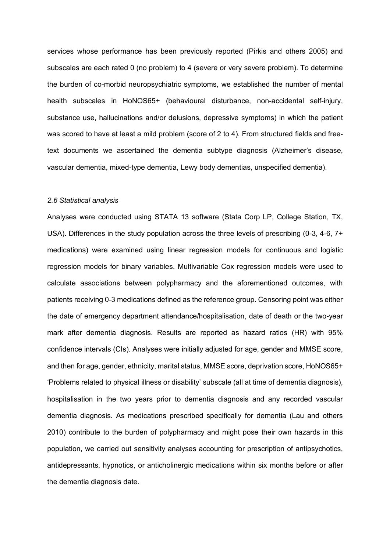services whose performance has been previously reported (Pirkis and others 2005) and subscales are each rated 0 (no problem) to 4 (severe or very severe problem). To determine the burden of co-morbid neuropsychiatric symptoms, we established the number of mental health subscales in HoNOS65+ (behavioural disturbance, non-accidental self-injury, substance use, hallucinations and/or delusions, depressive symptoms) in which the patient was scored to have at least a mild problem (score of 2 to 4). From structured fields and freetext documents we ascertained the dementia subtype diagnosis (Alzheimer's disease, vascular dementia, mixed-type dementia, Lewy body dementias, unspecified dementia).

#### *2.6 Statistical analysis*

Analyses were conducted using STATA 13 software (Stata Corp LP, College Station, TX, USA). Differences in the study population across the three levels of prescribing (0-3, 4-6, 7+ medications) were examined using linear regression models for continuous and logistic regression models for binary variables. Multivariable Cox regression models were used to calculate associations between polypharmacy and the aforementioned outcomes, with patients receiving 0-3 medications defined as the reference group. Censoring point was either the date of emergency department attendance/hospitalisation, date of death or the two-year mark after dementia diagnosis. Results are reported as hazard ratios (HR) with 95% confidence intervals (CIs). Analyses were initially adjusted for age, gender and MMSE score, and then for age, gender, ethnicity, marital status, MMSE score, deprivation score, HoNOS65+ 'Problems related to physical illness or disability' subscale (all at time of dementia diagnosis), hospitalisation in the two years prior to dementia diagnosis and any recorded vascular dementia diagnosis. As medications prescribed specifically for dementia (Lau and others 2010) contribute to the burden of polypharmacy and might pose their own hazards in this population, we carried out sensitivity analyses accounting for prescription of antipsychotics, antidepressants, hypnotics, or anticholinergic medications within six months before or after the dementia diagnosis date.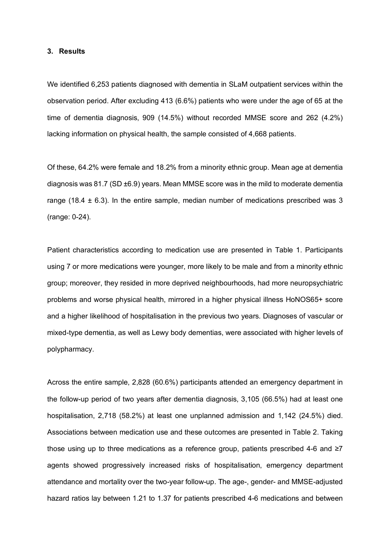#### **3. Results**

We identified 6,253 patients diagnosed with dementia in SLaM outpatient services within the observation period. After excluding 413 (6.6%) patients who were under the age of 65 at the time of dementia diagnosis, 909 (14.5%) without recorded MMSE score and 262 (4.2%) lacking information on physical health, the sample consisted of 4,668 patients.

Of these, 64.2% were female and 18.2% from a minority ethnic group. Mean age at dementia diagnosis was 81.7 (SD ±6.9) years. Mean MMSE score was in the mild to moderate dementia range (18.4  $\pm$  6.3). In the entire sample, median number of medications prescribed was 3 (range: 0-24).

Patient characteristics according to medication use are presented in Table 1. Participants using 7 or more medications were younger, more likely to be male and from a minority ethnic group; moreover, they resided in more deprived neighbourhoods, had more neuropsychiatric problems and worse physical health, mirrored in a higher physical illness HoNOS65+ score and a higher likelihood of hospitalisation in the previous two years. Diagnoses of vascular or mixed-type dementia, as well as Lewy body dementias, were associated with higher levels of polypharmacy.

Across the entire sample, 2,828 (60.6%) participants attended an emergency department in the follow-up period of two years after dementia diagnosis, 3,105 (66.5%) had at least one hospitalisation, 2,718 (58.2%) at least one unplanned admission and 1,142 (24.5%) died. Associations between medication use and these outcomes are presented in Table 2. Taking those using up to three medications as a reference group, patients prescribed 4-6 and  $\geq 7$ agents showed progressively increased risks of hospitalisation, emergency department attendance and mortality over the two-year follow-up. The age-, gender- and MMSE-adjusted hazard ratios lay between 1.21 to 1.37 for patients prescribed 4-6 medications and between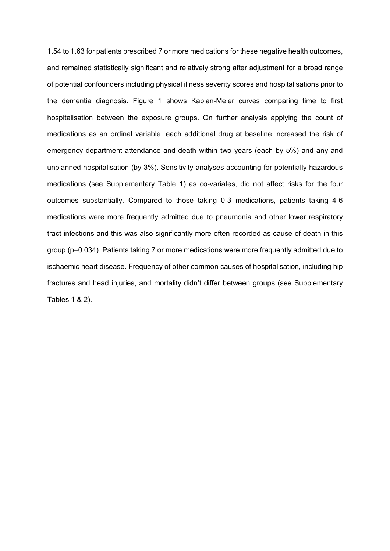1.54 to 1.63 for patients prescribed 7 or more medications for these negative health outcomes, and remained statistically significant and relatively strong after adjustment for a broad range of potential confounders including physical illness severity scores and hospitalisations prior to the dementia diagnosis. Figure 1 shows Kaplan-Meier curves comparing time to first hospitalisation between the exposure groups. On further analysis applying the count of medications as an ordinal variable, each additional drug at baseline increased the risk of emergency department attendance and death within two years (each by 5%) and any and unplanned hospitalisation (by 3%). Sensitivity analyses accounting for potentially hazardous medications (see Supplementary Table 1) as co-variates, did not affect risks for the four outcomes substantially. Compared to those taking 0-3 medications, patients taking 4-6 medications were more frequently admitted due to pneumonia and other lower respiratory tract infections and this was also significantly more often recorded as cause of death in this group (p=0.034). Patients taking 7 or more medications were more frequently admitted due to ischaemic heart disease. Frequency of other common causes of hospitalisation, including hip fractures and head injuries, and mortality didn't differ between groups (see Supplementary Tables 1 & 2).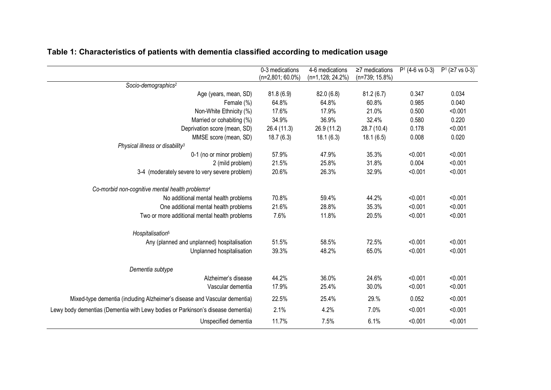|                                                                                 | 0-3 medications     | 4-6 medications     | $\geq$ 7 medications | $P1$ (4-6 vs 0-3) | $P^1$ ( $\geq$ 7 vs 0-3) |
|---------------------------------------------------------------------------------|---------------------|---------------------|----------------------|-------------------|--------------------------|
|                                                                                 | $(n=2,801; 60.0\%)$ | $(n=1, 128; 24.2%)$ | (n=739; 15.8%)       |                   |                          |
| Socio-demographics <sup>2</sup>                                                 |                     |                     |                      |                   |                          |
| Age (years, mean, SD)                                                           | 81.8(6.9)           | 82.0(6.8)           | 81.2(6.7)            | 0.347             | 0.034                    |
| Female (%)                                                                      | 64.8%               | 64.8%               | 60.8%                | 0.985             | 0.040                    |
| Non-White Ethnicity (%)                                                         | 17.6%               | 17.9%               | 21.0%                | 0.500             | < 0.001                  |
| Married or cohabiting (%)                                                       | 34.9%               | 36.9%               | 32.4%                | 0.580             | 0.220                    |
| Deprivation score (mean, SD)                                                    | 26.4 (11.3)         | 26.9(11.2)          | 28.7 (10.4)          | 0.178             | < 0.001                  |
| MMSE score (mean, SD)                                                           | 18.7(6.3)           | 18.1(6.3)           | 18.1(6.5)            | 0.008             | 0.020                    |
| Physical illness or disability <sup>3</sup>                                     |                     |                     |                      |                   |                          |
| 0-1 (no or minor problem)                                                       | 57.9%               | 47.9%               | 35.3%                | < 0.001           | < 0.001                  |
| 2 (mild problem)                                                                | 21.5%               | 25.8%               | 31.8%                | 0.004             | < 0.001                  |
| 3-4 (moderately severe to very severe problem)                                  | 20.6%               | 26.3%               | 32.9%                | < 0.001           | < 0.001                  |
| Co-morbid non-cognitive mental health problems <sup>4</sup>                     |                     |                     |                      |                   |                          |
| No additional mental health problems                                            | 70.8%               | 59.4%               | 44.2%                | < 0.001           | < 0.001                  |
| One additional mental health problems                                           | 21.6%               | 28.8%               | 35.3%                | < 0.001           | < 0.001                  |
| Two or more additional mental health problems                                   | 7.6%                | 11.8%               | 20.5%                | < 0.001           | < 0.001                  |
| Hospitalisation <sup>5</sup>                                                    |                     |                     |                      |                   |                          |
| Any (planned and unplanned) hospitalisation                                     | 51.5%               | 58.5%               | 72.5%                | < 0.001           | < 0.001                  |
| Unplanned hospitalisation                                                       | 39.3%               | 48.2%               | 65.0%                | < 0.001           | < 0.001                  |
| Dementia subtype                                                                |                     |                     |                      |                   |                          |
| Alzheimer's disease                                                             | 44.2%               | 36.0%               | 24.6%                | < 0.001           | < 0.001                  |
| Vascular dementia                                                               | 17.9%               | 25.4%               | 30.0%                | < 0.001           | < 0.001                  |
| Mixed-type dementia (including Alzheimer's disease and Vascular dementia)       | 22.5%               | 25.4%               | 29.%                 | 0.052             | < 0.001                  |
| Lewy body dementias (Dementia with Lewy bodies or Parkinson's disease dementia) | 2.1%                | 4.2%                | 7.0%                 | < 0.001           | < 0.001                  |
| Unspecified dementia                                                            | 11.7%               | 7.5%                | 6.1%                 | < 0.001           | < 0.001                  |

# **Table 1: Characteristics of patients with dementia classified according to medication usage**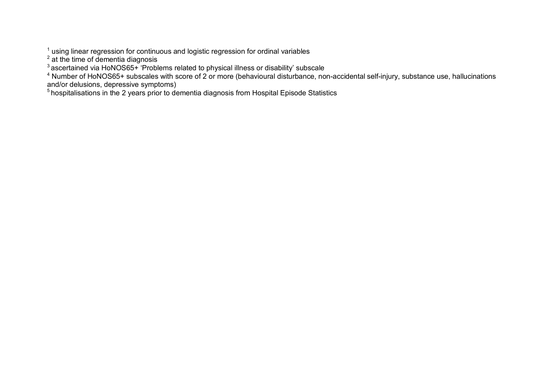$1$  using linear regression for continuous and logistic regression for ordinal variables

 $2$  at the time of dementia diagnosis

 $3$  ascertained via HoNOS65+ 'Problems related to physical illness or disability' subscale

<sup>4</sup> Number of HoNOS65+ subscales with score of 2 or more (behavioural disturbance, non-accidental self-injury, substance use, hallucinations and/or delusions, depressive symptoms)

<sup>5</sup> hospitalisations in the 2 years prior to dementia diagnosis from Hospital Episode Statistics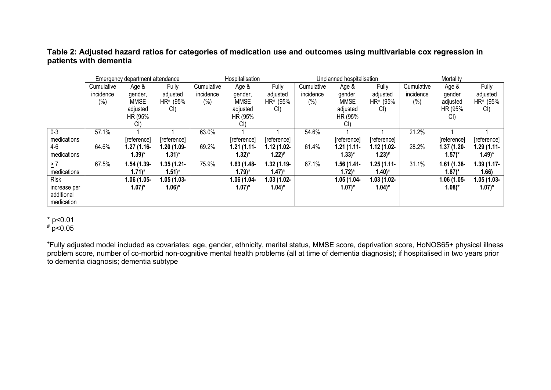# **Table 2: Adjusted hazard ratios for categories of medication use and outcomes using multivariable cox regression in patients with dementia**

|              | Emergency department attendance |               |                      | Hospitalisation |                     |                      | Unplanned hospitalisation |                     |                     | Mortality  |                     |                     |
|--------------|---------------------------------|---------------|----------------------|-----------------|---------------------|----------------------|---------------------------|---------------------|---------------------|------------|---------------------|---------------------|
|              | Cumulative                      | Age &         | <b>Fully</b>         | Cumulative      | Age &               | Fully                | Cumulative                | Age &               | Fully               | Cumulative | Age &               | Fully               |
|              | incidence                       | gender,       | adjusted             | incidence       | gender,             | adjusted             | incidence                 | gender,             | adjusted            | incidence  | gender              | adjusted            |
|              | (%)                             | <b>MMSE</b>   | HR <sup>±</sup> (95% | $(\%)$          | <b>MMSE</b>         | HR <sup>±</sup> (95% | $(\%)$                    | <b>MMSE</b>         | $HR = (95%$         | (%)        | adjusted            | $HR = (95%$         |
|              |                                 | adjusted      | Cl                   |                 | adjusted            | CI                   |                           | adjusted            | CI)                 |            | HR (95%             | CI)                 |
|              |                                 | HR (95%       |                      |                 | HR (95%             |                      |                           | HR (95%             |                     |            | CI                  |                     |
|              |                                 | CI)           |                      |                 | CI)                 |                      |                           | CI)                 |                     |            |                     |                     |
| $0 - 3$      | 57.1%                           |               |                      | 63.0%           |                     |                      | 54.6%                     |                     |                     | 21.2%      |                     |                     |
| medications  |                                 | [reference]   | [reference]          |                 | [reference]         | [reference]          |                           | [reference]         | [reference]         |            | [reference]         | [reference]         |
| 4-6          | 64.6%                           | $1.27(1.16 -$ | 1.20 (1.09-          | 69.2%           | $1.21(1.11-$        | $1.12(1.02 -$        | 61.4%                     | $1.21(1.11-$        | $1.12(1.02 -$       | 28.2%      | $1.37(1.20 -$       | $1.29(1.11-$        |
| medications  |                                 | 1.39)*        | $1.31$ <sup>*</sup>  |                 | $1.32$ <sup>*</sup> | $1.22$ <sup>#</sup>  |                           | $1.33$ <sup>*</sup> | $1.23$ <sup>#</sup> |            | $(1.57)^*$          | $1.49$ <sup>*</sup> |
| $\geq 7$     | 67.5%                           | $1.54(1.39 -$ | $1.35(1.21 -$        | 75.9%           | $1.63(1.48-$        | $1.32(1.19 -$        | 67.1%                     | 1.56 (1.41-         | $1.25(1.11-$        | 31.1%      | $1.61(1.38 -$       | $1.39(1.17 -$       |
| medications  |                                 | 1.71)*        | $1.51$ <sup>*</sup>  |                 | $1.79$ <sup>*</sup> | $(1.47)^*$           |                           | $1.72$ <sup>*</sup> | $1.40$ <sup>*</sup> |            | 1.87)*              | 1.66)               |
| <b>Risk</b>  |                                 | $1.06(1.05 -$ | $1.05(1.03 -$        |                 | 1.06 (1.04-         | $1.03(1.02 -$        |                           | 1.05 (1.04-         | $1.03(1.02 -$       |            | $1.06(1.05 -$       | $1.05(1.03 -$       |
| increase per |                                 | 1.07)*        | $1.06$ <sup>*</sup>  |                 | $(1.07)^*$          | $1.04$ <sup>*</sup>  |                           | $(1.07)^*$          | $1.04$ <sup>*</sup> |            | $1.08$ <sup>*</sup> | $(1.07)^*$          |
| additional   |                                 |               |                      |                 |                     |                      |                           |                     |                     |            |                     |                     |
| medication   |                                 |               |                      |                 |                     |                      |                           |                     |                     |            |                     |                     |

\* p<0.01

# p<0.05

± Fully adjusted model included as covariates: age, gender, ethnicity, marital status, MMSE score, deprivation score, HoNOS65+ physical illness problem score, number of co-morbid non-cognitive mental health problems (all at time of dementia diagnosis); if hospitalised in two years prior to dementia diagnosis; dementia subtype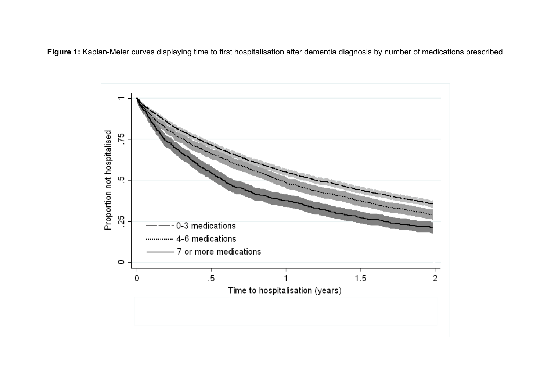**Figure 1:** Kaplan-Meier curves displaying time to first hospitalisation after dementia diagnosis by number of medications prescribed

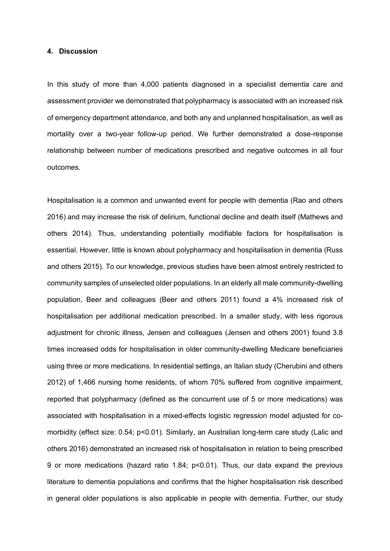#### **4. Discussion**

In this study of more than 4,000 patients diagnosed in a specialist dementia care and assessment provider we demonstrated that polypharmacy is associated with an increased risk of emergency department attendance, and both any and unplanned hospitalisation, as well as mortality over a two-year follow-up period. We further demonstrated a dose-response relationship between number of medications prescribed and negative outcomes in all four outcomes.

Hospitalisation is a common and unwanted event for people with dementia (Rao and others 2016) and may increase the risk of delirium, functional decline and death itself (Mathews and others 2014). Thus, understanding potentially modifiable factors for hospitalisation is essential. However, little is known about polypharmacy and hospitalisation in dementia (Russ and others 2015). To our knowledge, previous studies have been almost entirely restricted to community samples of unselected older populations. In an elderly all male community-dwelling population, Beer and colleagues (Beer and others 2011) found a 4% increased risk of hospitalisation per additional medication prescribed. In a smaller study, with less rigorous adjustment for chronic illness, Jensen and colleagues (Jensen and others 2001) found 3.8 times increased odds for hospitalisation in older community-dwelling Medicare beneficiaries using three or more medications. In residential settings, an Italian study (Cherubini and others 2012) of 1,466 nursing home residents, of whom 70% suffered from cognitive impairment, reported that polypharmacy (defined as the concurrent use of 5 or more medications) was associated with hospitalisation in a mixed-effects logistic regression model adjusted for comorbidity (effect size: 0.54; p<0.01). Similarly, an Australian long-term care study (Lalic and others 2016) demonstrated an increased risk of hospitalisation in relation to being prescribed 9 or more medications (hazard ratio 1.84; p<0.01). Thus, our data expand the previous literature to dementia populations and confirms that the higher hospitalisation risk described in general older populations is also applicable in people with dementia. Further, our study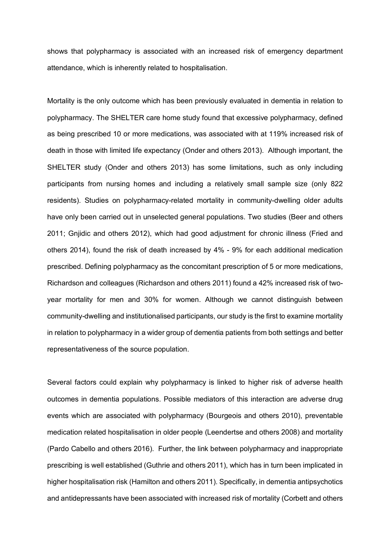shows that polypharmacy is associated with an increased risk of emergency department attendance, which is inherently related to hospitalisation.

Mortality is the only outcome which has been previously evaluated in dementia in relation to polypharmacy. The SHELTER care home study found that excessive polypharmacy, defined as being prescribed 10 or more medications, was associated with at 119% increased risk of death in those with limited life expectancy (Onder and others 2013). Although important, the SHELTER study (Onder and others 2013) has some limitations, such as only including participants from nursing homes and including a relatively small sample size (only 822 residents). Studies on polypharmacy-related mortality in community-dwelling older adults have only been carried out in unselected general populations. Two studies (Beer and others 2011; Gnjidic and others 2012), which had good adjustment for chronic illness (Fried and others 2014), found the risk of death increased by 4% - 9% for each additional medication prescribed. Defining polypharmacy as the concomitant prescription of 5 or more medications, Richardson and colleagues (Richardson and others 2011) found a 42% increased risk of twoyear mortality for men and 30% for women. Although we cannot distinguish between community-dwelling and institutionalised participants, our study is the first to examine mortality in relation to polypharmacy in a wider group of dementia patients from both settings and better representativeness of the source population.

Several factors could explain why polypharmacy is linked to higher risk of adverse health outcomes in dementia populations. Possible mediators of this interaction are adverse drug events which are associated with polypharmacy (Bourgeois and others 2010), preventable medication related hospitalisation in older people (Leendertse and others 2008) and mortality (Pardo Cabello and others 2016). Further, the link between polypharmacy and inappropriate prescribing is well established (Guthrie and others 2011), which has in turn been implicated in higher hospitalisation risk (Hamilton and others 2011). Specifically, in dementia antipsychotics and antidepressants have been associated with increased risk of mortality (Corbett and others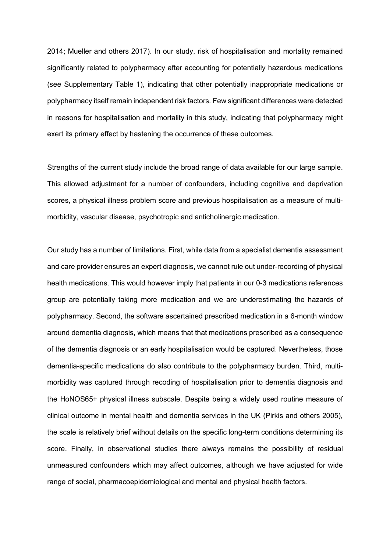2014; Mueller and others 2017). In our study, risk of hospitalisation and mortality remained significantly related to polypharmacy after accounting for potentially hazardous medications (see Supplementary Table 1), indicating that other potentially inappropriate medications or polypharmacy itself remain independent risk factors. Few significant differences were detected in reasons for hospitalisation and mortality in this study, indicating that polypharmacy might exert its primary effect by hastening the occurrence of these outcomes.

Strengths of the current study include the broad range of data available for our large sample. This allowed adjustment for a number of confounders, including cognitive and deprivation scores, a physical illness problem score and previous hospitalisation as a measure of multimorbidity, vascular disease, psychotropic and anticholinergic medication.

Our study has a number of limitations. First, while data from a specialist dementia assessment and care provider ensures an expert diagnosis, we cannot rule out under-recording of physical health medications. This would however imply that patients in our 0-3 medications references group are potentially taking more medication and we are underestimating the hazards of polypharmacy. Second, the software ascertained prescribed medication in a 6-month window around dementia diagnosis, which means that that medications prescribed as a consequence of the dementia diagnosis or an early hospitalisation would be captured. Nevertheless, those dementia-specific medications do also contribute to the polypharmacy burden. Third, multimorbidity was captured through recoding of hospitalisation prior to dementia diagnosis and the HoNOS65+ physical illness subscale. Despite being a widely used routine measure of clinical outcome in mental health and dementia services in the UK (Pirkis and others 2005), the scale is relatively brief without details on the specific long-term conditions determining its score. Finally, in observational studies there always remains the possibility of residual unmeasured confounders which may affect outcomes, although we have adjusted for wide range of social, pharmacoepidemiological and mental and physical health factors.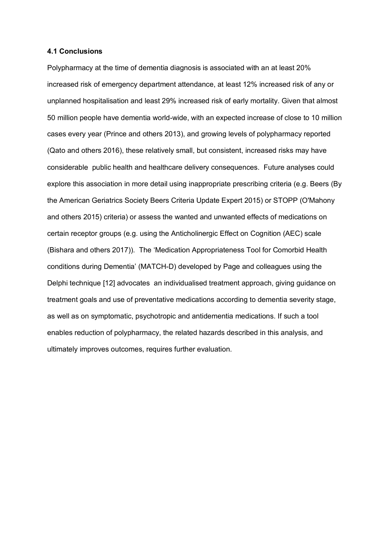#### **4.1 Conclusions**

Polypharmacy at the time of dementia diagnosis is associated with an at least 20% increased risk of emergency department attendance, at least 12% increased risk of any or unplanned hospitalisation and least 29% increased risk of early mortality. Given that almost 50 million people have dementia world-wide, with an expected increase of close to 10 million cases every year (Prince and others 2013), and growing levels of polypharmacy reported (Qato and others 2016), these relatively small, but consistent, increased risks may have considerable public health and healthcare delivery consequences. Future analyses could explore this association in more detail using inappropriate prescribing criteria (e.g. Beers (By the American Geriatrics Society Beers Criteria Update Expert 2015) or STOPP (O'Mahony and others 2015) criteria) or assess the wanted and unwanted effects of medications on certain receptor groups (e.g. using the Anticholinergic Effect on Cognition (AEC) scale (Bishara and others 2017)). The 'Medication Appropriateness Tool for Comorbid Health conditions during Dementia' (MATCH-D) developed by Page and colleagues using the Delphi technique [12] advocates an individualised treatment approach, giving guidance on treatment goals and use of preventative medications according to dementia severity stage, as well as on symptomatic, psychotropic and antidementia medications. If such a tool enables reduction of polypharmacy, the related hazards described in this analysis, and ultimately improves outcomes, requires further evaluation.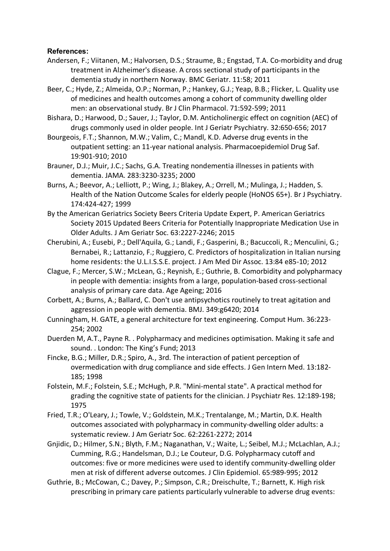# **References:**

- Andersen, F.; Viitanen, M.; Halvorsen, D.S.; Straume, B.; Engstad, T.A. Co-morbidity and drug treatment in Alzheimer's disease. A cross sectional study of participants in the dementia study in northern Norway. BMC Geriatr. 11:58; 2011
- Beer, C.; Hyde, Z.; Almeida, O.P.; Norman, P.; Hankey, G.J.; Yeap, B.B.; Flicker, L. Quality use of medicines and health outcomes among a cohort of community dwelling older men: an observational study. Br J Clin Pharmacol. 71:592-599; 2011
- Bishara, D.; Harwood, D.; Sauer, J.; Taylor, D.M. Anticholinergic effect on cognition (AEC) of drugs commonly used in older people. Int J Geriatr Psychiatry. 32:650-656; 2017
- Bourgeois, F.T.; Shannon, M.W.; Valim, C.; Mandl, K.D. Adverse drug events in the outpatient setting: an 11-year national analysis. Pharmacoepidemiol Drug Saf. 19:901-910; 2010
- Brauner, D.J.; Muir, J.C.; Sachs, G.A. Treating nondementia illnesses in patients with dementia. JAMA. 283:3230-3235; 2000
- Burns, A.; Beevor, A.; Lelliott, P.; Wing, J.; Blakey, A.; Orrell, M.; Mulinga, J.; Hadden, S. Health of the Nation Outcome Scales for elderly people (HoNOS 65+). Br J Psychiatry. 174:424-427; 1999
- By the American Geriatrics Society Beers Criteria Update Expert, P. American Geriatrics Society 2015 Updated Beers Criteria for Potentially Inappropriate Medication Use in Older Adults. J Am Geriatr Soc. 63:2227-2246; 2015
- Cherubini, A.; Eusebi, P.; Dell'Aquila, G.; Landi, F.; Gasperini, B.; Bacuccoli, R.; Menculini, G.; Bernabei, R.; Lattanzio, F.; Ruggiero, C. Predictors of hospitalization in Italian nursing home residents: the U.L.I.S.S.E. project. J Am Med Dir Assoc. 13:84 e85-10; 2012
- Clague, F.; Mercer, S.W.; McLean, G.; Reynish, E.; Guthrie, B. Comorbidity and polypharmacy in people with dementia: insights from a large, population-based cross-sectional analysis of primary care data. Age Ageing; 2016
- Corbett, A.; Burns, A.; Ballard, C. Don't use antipsychotics routinely to treat agitation and aggression in people with dementia. BMJ. 349:g6420; 2014
- Cunningham, H. GATE, a general architecture for text engineering. Comput Hum. 36:223- 254; 2002
- Duerden M, A.T., Payne R. . Polypharmacy and medicines optimisation. Making it safe and sound. . London: The King's Fund; 2013
- Fincke, B.G.; Miller, D.R.; Spiro, A., 3rd. The interaction of patient perception of overmedication with drug compliance and side effects. J Gen Intern Med. 13:182- 185; 1998
- Folstein, M.F.; Folstein, S.E.; McHugh, P.R. "Mini-mental state". A practical method for grading the cognitive state of patients for the clinician. J Psychiatr Res. 12:189-198; 1975
- Fried, T.R.; O'Leary, J.; Towle, V.; Goldstein, M.K.; Trentalange, M.; Martin, D.K. Health outcomes associated with polypharmacy in community-dwelling older adults: a systematic review. J Am Geriatr Soc. 62:2261-2272; 2014
- Gnjidic, D.; Hilmer, S.N.; Blyth, F.M.; Naganathan, V.; Waite, L.; Seibel, M.J.; McLachlan, A.J.; Cumming, R.G.; Handelsman, D.J.; Le Couteur, D.G. Polypharmacy cutoff and outcomes: five or more medicines were used to identify community-dwelling older men at risk of different adverse outcomes. J Clin Epidemiol. 65:989-995; 2012
- Guthrie, B.; McCowan, C.; Davey, P.; Simpson, C.R.; Dreischulte, T.; Barnett, K. High risk prescribing in primary care patients particularly vulnerable to adverse drug events: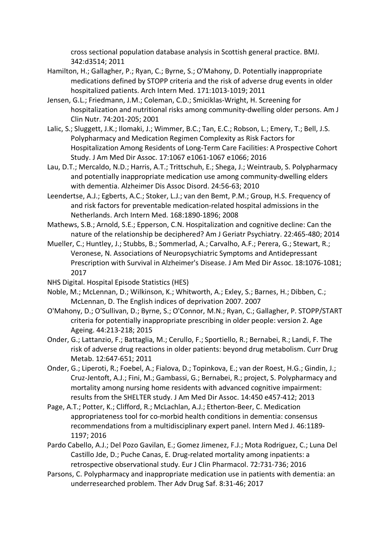cross sectional population database analysis in Scottish general practice. BMJ. 342:d3514; 2011

- Hamilton, H.; Gallagher, P.; Ryan, C.; Byrne, S.; O'Mahony, D. Potentially inappropriate medications defined by STOPP criteria and the risk of adverse drug events in older hospitalized patients. Arch Intern Med. 171:1013-1019; 2011
- Jensen, G.L.; Friedmann, J.M.; Coleman, C.D.; Smiciklas-Wright, H. Screening for hospitalization and nutritional risks among community-dwelling older persons. Am J Clin Nutr. 74:201-205; 2001
- Lalic, S.; Sluggett, J.K.; Ilomaki, J.; Wimmer, B.C.; Tan, E.C.; Robson, L.; Emery, T.; Bell, J.S. Polypharmacy and Medication Regimen Complexity as Risk Factors for Hospitalization Among Residents of Long-Term Care Facilities: A Prospective Cohort Study. J Am Med Dir Assoc. 17:1067 e1061-1067 e1066; 2016
- Lau, D.T.; Mercaldo, N.D.; Harris, A.T.; Trittschuh, E.; Shega, J.; Weintraub, S. Polypharmacy and potentially inappropriate medication use among community-dwelling elders with dementia. Alzheimer Dis Assoc Disord. 24:56-63; 2010
- Leendertse, A.J.; Egberts, A.C.; Stoker, L.J.; van den Bemt, P.M.; Group, H.S. Frequency of and risk factors for preventable medication-related hospital admissions in the Netherlands. Arch Intern Med. 168:1890-1896; 2008
- Mathews, S.B.; Arnold, S.E.; Epperson, C.N. Hospitalization and cognitive decline: Can the nature of the relationship be deciphered? Am J Geriatr Psychiatry. 22:465-480; 2014
- Mueller, C.; Huntley, J.; Stubbs, B.; Sommerlad, A.; Carvalho, A.F.; Perera, G.; Stewart, R.; Veronese, N. Associations of Neuropsychiatric Symptoms and Antidepressant Prescription with Survival in Alzheimer's Disease. J Am Med Dir Assoc. 18:1076-1081; 2017
- NHS Digital. Hospital Episode Statistics (HES)
- Noble, M.; McLennan, D.; Wilkinson, K.; Whitworth, A.; Exley, S.; Barnes, H.; Dibben, C.; McLennan, D. The English indices of deprivation 2007. 2007
- O'Mahony, D.; O'Sullivan, D.; Byrne, S.; O'Connor, M.N.; Ryan, C.; Gallagher, P. STOPP/START criteria for potentially inappropriate prescribing in older people: version 2. Age Ageing. 44:213-218; 2015
- Onder, G.; Lattanzio, F.; Battaglia, M.; Cerullo, F.; Sportiello, R.; Bernabei, R.; Landi, F. The risk of adverse drug reactions in older patients: beyond drug metabolism. Curr Drug Metab. 12:647-651; 2011
- Onder, G.; Liperoti, R.; Foebel, A.; Fialova, D.; Topinkova, E.; van der Roest, H.G.; Gindin, J.; Cruz-Jentoft, A.J.; Fini, M.; Gambassi, G.; Bernabei, R.; project, S. Polypharmacy and mortality among nursing home residents with advanced cognitive impairment: results from the SHELTER study. J Am Med Dir Assoc. 14:450 e457-412; 2013
- Page, A.T.; Potter, K.; Clifford, R.; McLachlan, A.J.; Etherton-Beer, C. Medication appropriateness tool for co-morbid health conditions in dementia: consensus recommendations from a multidisciplinary expert panel. Intern Med J. 46:1189- 1197; 2016
- Pardo Cabello, A.J.; Del Pozo Gavilan, E.; Gomez Jimenez, F.J.; Mota Rodriguez, C.; Luna Del Castillo Jde, D.; Puche Canas, E. Drug-related mortality among inpatients: a retrospective observational study. Eur J Clin Pharmacol. 72:731-736; 2016
- Parsons, C. Polypharmacy and inappropriate medication use in patients with dementia: an underresearched problem. Ther Adv Drug Saf. 8:31-46; 2017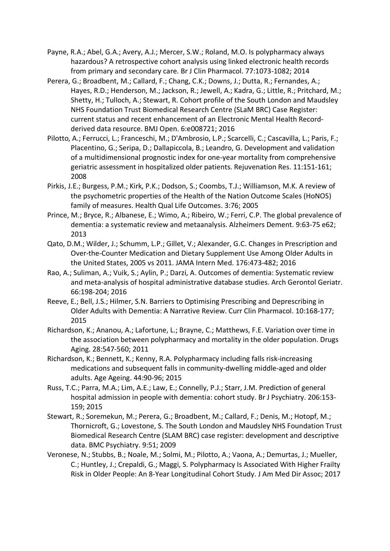- Payne, R.A.; Abel, G.A.; Avery, A.J.; Mercer, S.W.; Roland, M.O. Is polypharmacy always hazardous? A retrospective cohort analysis using linked electronic health records from primary and secondary care. Br J Clin Pharmacol. 77:1073-1082; 2014
- Perera, G.; Broadbent, M.; Callard, F.; Chang, C.K.; Downs, J.; Dutta, R.; Fernandes, A.; Hayes, R.D.; Henderson, M.; Jackson, R.; Jewell, A.; Kadra, G.; Little, R.; Pritchard, M.; Shetty, H.; Tulloch, A.; Stewart, R. Cohort profile of the South London and Maudsley NHS Foundation Trust Biomedical Research Centre (SLaM BRC) Case Register: current status and recent enhancement of an Electronic Mental Health Recordderived data resource. BMJ Open. 6:e008721; 2016
- Pilotto, A.; Ferrucci, L.; Franceschi, M.; D'Ambrosio, L.P.; Scarcelli, C.; Cascavilla, L.; Paris, F.; Placentino, G.; Seripa, D.; Dallapiccola, B.; Leandro, G. Development and validation of a multidimensional prognostic index for one-year mortality from comprehensive geriatric assessment in hospitalized older patients. Rejuvenation Res. 11:151-161; 2008
- Pirkis, J.E.; Burgess, P.M.; Kirk, P.K.; Dodson, S.; Coombs, T.J.; Williamson, M.K. A review of the psychometric properties of the Health of the Nation Outcome Scales (HoNOS) family of measures. Health Qual Life Outcomes. 3:76; 2005
- Prince, M.; Bryce, R.; Albanese, E.; Wimo, A.; Ribeiro, W.; Ferri, C.P. The global prevalence of dementia: a systematic review and metaanalysis. Alzheimers Dement. 9:63-75 e62; 2013
- Qato, D.M.; Wilder, J.; Schumm, L.P.; Gillet, V.; Alexander, G.C. Changes in Prescription and Over-the-Counter Medication and Dietary Supplement Use Among Older Adults in the United States, 2005 vs 2011. JAMA Intern Med. 176:473-482; 2016
- Rao, A.; Suliman, A.; Vuik, S.; Aylin, P.; Darzi, A. Outcomes of dementia: Systematic review and meta-analysis of hospital administrative database studies. Arch Gerontol Geriatr. 66:198-204; 2016
- Reeve, E.; Bell, J.S.; Hilmer, S.N. Barriers to Optimising Prescribing and Deprescribing in Older Adults with Dementia: A Narrative Review. Curr Clin Pharmacol. 10:168-177; 2015
- Richardson, K.; Ananou, A.; Lafortune, L.; Brayne, C.; Matthews, F.E. Variation over time in the association between polypharmacy and mortality in the older population. Drugs Aging. 28:547-560; 2011
- Richardson, K.; Bennett, K.; Kenny, R.A. Polypharmacy including falls risk-increasing medications and subsequent falls in community-dwelling middle-aged and older adults. Age Ageing. 44:90-96; 2015
- Russ, T.C.; Parra, M.A.; Lim, A.E.; Law, E.; Connelly, P.J.; Starr, J.M. Prediction of general hospital admission in people with dementia: cohort study. Br J Psychiatry. 206:153- 159; 2015
- Stewart, R.; Soremekun, M.; Perera, G.; Broadbent, M.; Callard, F.; Denis, M.; Hotopf, M.; Thornicroft, G.; Lovestone, S. The South London and Maudsley NHS Foundation Trust Biomedical Research Centre (SLAM BRC) case register: development and descriptive data. BMC Psychiatry. 9:51; 2009
- Veronese, N.; Stubbs, B.; Noale, M.; Solmi, M.; Pilotto, A.; Vaona, A.; Demurtas, J.; Mueller, C.; Huntley, J.; Crepaldi, G.; Maggi, S. Polypharmacy Is Associated With Higher Frailty Risk in Older People: An 8-Year Longitudinal Cohort Study. J Am Med Dir Assoc; 2017